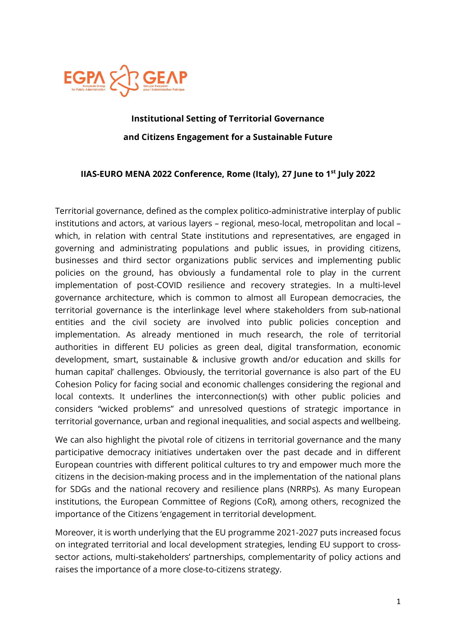

# Institutional Setting of Territorial Governance and Citizens Engagement for a Sustainable Future

## IIAS-EURO MENA 2022 Conference, Rome (Italy), 27 June to 1<sup>st</sup> July 2022

Territorial governance, defined as the complex politico-administrative interplay of public institutions and actors, at various layers – regional, meso-local, metropolitan and local – which, in relation with central State institutions and representatives, are engaged in governing and administrating populations and public issues, in providing citizens, businesses and third sector organizations public services and implementing public policies on the ground, has obviously a fundamental role to play in the current implementation of post-COVID resilience and recovery strategies. In a multi-level governance architecture, which is common to almost all European democracies, the territorial governance is the interlinkage level where stakeholders from sub-national entities and the civil society are involved into public policies conception and implementation. As already mentioned in much research, the role of territorial authorities in different EU policies as green deal, digital transformation, economic development, smart, sustainable & inclusive growth and/or education and skills for human capital' challenges. Obviously, the territorial governance is also part of the EU Cohesion Policy for facing social and economic challenges considering the regional and local contexts. It underlines the interconnection(s) with other public policies and considers "wicked problems" and unresolved questions of strategic importance in territorial governance, urban and regional inequalities, and social aspects and wellbeing.

We can also highlight the pivotal role of citizens in territorial governance and the many participative democracy initiatives undertaken over the past decade and in different European countries with different political cultures to try and empower much more the citizens in the decision-making process and in the implementation of the national plans for SDGs and the national recovery and resilience plans (NRRPs). As many European institutions, the European Committee of Regions (CoR), among others, recognized the importance of the Citizens 'engagement in territorial development.

Moreover, it is worth underlying that the EU programme 2021-2027 puts increased focus on integrated territorial and local development strategies, lending EU support to crosssector actions, multi-stakeholders' partnerships, complementarity of policy actions and raises the importance of a more close-to-citizens strategy.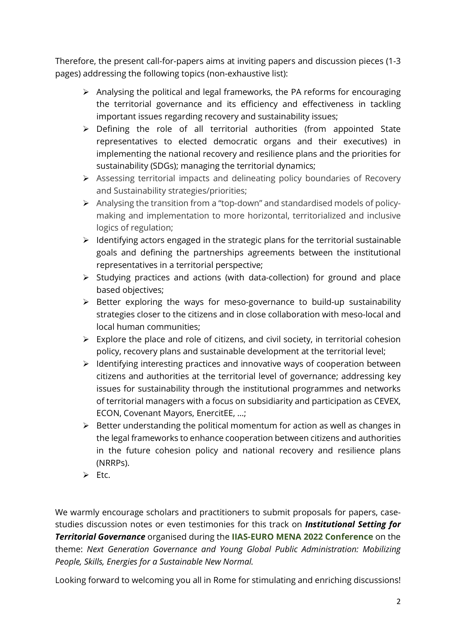Therefore, the present call-for-papers aims at inviting papers and discussion pieces (1-3 pages) addressing the following topics (non-exhaustive list):

- $\triangleright$  Analysing the political and legal frameworks, the PA reforms for encouraging the territorial governance and its efficiency and effectiveness in tackling important issues regarding recovery and sustainability issues;
- $\triangleright$  Defining the role of all territorial authorities (from appointed State representatives to elected democratic organs and their executives) in implementing the national recovery and resilience plans and the priorities for sustainability (SDGs); managing the territorial dynamics;
- Assessing territorial impacts and delineating policy boundaries of Recovery and Sustainability strategies/priorities;
- Analysing the transition from a "top-down" and standardised models of policymaking and implementation to more horizontal, territorialized and inclusive logics of regulation;
- $\triangleright$  Identifying actors engaged in the strategic plans for the territorial sustainable goals and defining the partnerships agreements between the institutional representatives in a territorial perspective;
- $\triangleright$  Studying practices and actions (with data-collection) for ground and place based objectives;
- $\triangleright$  Better exploring the ways for meso-governance to build-up sustainability strategies closer to the citizens and in close collaboration with meso-local and local human communities;
- $\triangleright$  Explore the place and role of citizens, and civil society, in territorial cohesion policy, recovery plans and sustainable development at the territorial level;
- $\triangleright$  Identifying interesting practices and innovative ways of cooperation between citizens and authorities at the territorial level of governance; addressing key issues for sustainability through the institutional programmes and networks of territorial managers with a focus on subsidiarity and participation as CEVEX, ECON, Covenant Mayors, EnercitEE, …;
- $\triangleright$  Better understanding the political momentum for action as well as changes in the legal frameworks to enhance cooperation between citizens and authorities in the future cohesion policy and national recovery and resilience plans (NRRPs).
- $\triangleright$  Ftc.

We warmly encourage scholars and practitioners to submit proposals for papers, casestudies discussion notes or even testimonies for this track on *Institutional Setting for* **Territorial Governance** organised during the **IIAS-EURO MENA 2022 Conference** on the theme: Next Generation Governance and Young Global Public Administration: Mobilizing People, Skills, Energies for a Sustainable New Normal.

Looking forward to welcoming you all in Rome for stimulating and enriching discussions!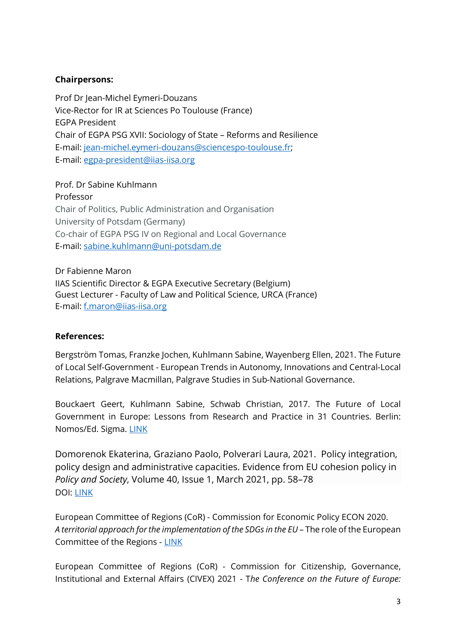## Chairpersons:

Prof Dr Jean-Michel Eymeri-Douzans Vice-Rector for IR at Sciences Po Toulouse (France) EGPA President Chair of EGPA PSG XVII: Sociology of State – Reforms and Resilience E-mail: jean-michel.eymeri-douzans@sciencespo-toulouse.fr; E-mail: egpa-president@iias-iisa.org

Prof. Dr Sabine Kuhlmann Professor Chair of Politics, Public Administration and Organisation University of Potsdam (Germany) Co-chair of EGPA PSG IV on Regional and Local Governance E-mail: sabine.kuhlmann@uni-potsdam.de

Dr Fabienne Maron IIAS Scientific Director & EGPA Executive Secretary (Belgium) Guest Lecturer - Faculty of Law and Political Science, URCA (France) E-mail: f.maron@iias-iisa.org

### References:

Bergström Tomas, Franzke Jochen, Kuhlmann Sabine, Wayenberg Ellen, 2021. The Future of Local Self-Government - European Trends in Autonomy, Innovations and Central-Local Relations, Palgrave Macmillan, Palgrave Studies in Sub-National Governance.

Bouckaert Geert, Kuhlmann Sabine, Schwab Christian, 2017. The Future of Local Government in Europe: Lessons from Research and Practice in 31 Countries. Berlin: Nomos/Ed. Sigma. LINK

Domorenok Ekaterina, Graziano Paolo, Polverari Laura, 2021. Policy integration, policy design and administrative capacities. Evidence from EU cohesion policy in Policy and Society, Volume 40, Issue 1, March 2021, pp. 58–78 DOI: LINK

European Committee of Regions (CoR) - Commission for Economic Policy ECON 2020. A territorial approach for the implementation of the SDGs in the EU – The role of the European Committee of the Regions - LINK

European Committee of Regions (CoR) - Commission for Citizenship, Governance, Institutional and External Affairs (CIVEX) 2021 - The Conference on the Future of Europe: